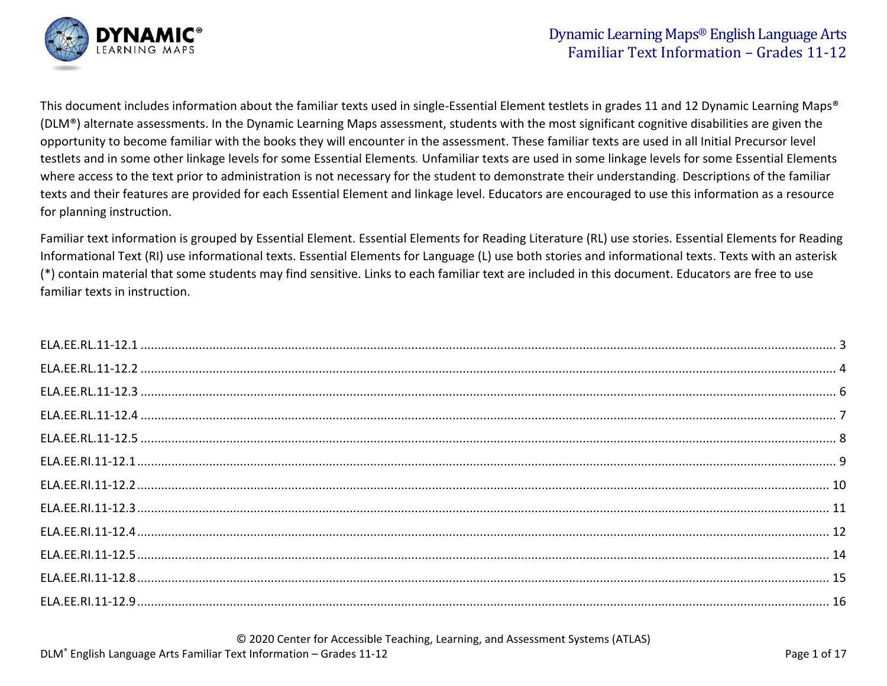

This document includes information about the familiar texts used in single-Essential Element testlets in grades 11 and 12 Dynamic Learning Maps® (DLM®) alternate assessments. In the Dynamic Learning Maps assessment, students with the most significant cognitive disabilities are given the opportunity to become familiar with the books they will encounter in the assessment. These familiar texts are used in all Initial Precursor level testlets and in some other linkage levels for some Essential Elements*.* Unfamiliar texts are used in some linkage levels for some Essential Elements where access to the text prior to administration is not necessary for the student to demonstrate their understanding. Descriptions of the familiar texts and their features are provided for each Essential Element and linkage level. Educators are encouraged to use this information as a resource for planning instruction.

Familiar text information is grouped by Essential Element. Essential Elements for Reading Literature (RL) use stories. Essential Elements for Reading Informational Text (RI) use informational texts. Essential Elements for Language (L) use both stories and informational texts. Texts with an asterisk (\*) contain material that some students may find sensitive. Links to each familiar text are included in this document. Educators are free to use familiar texts in instruction.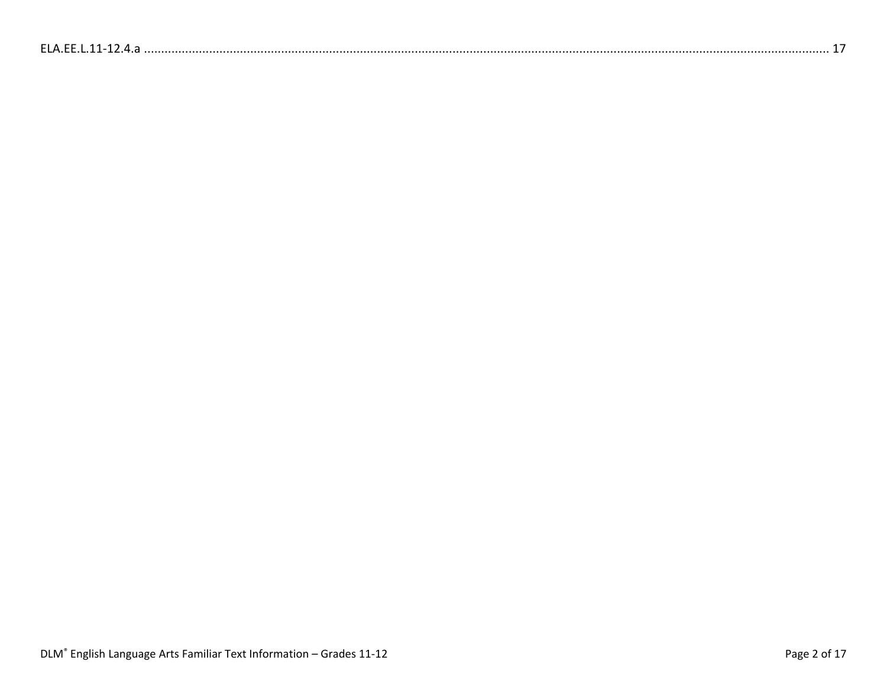| $FI$ $\Delta$ $FF$ |
|--------------------|
|--------------------|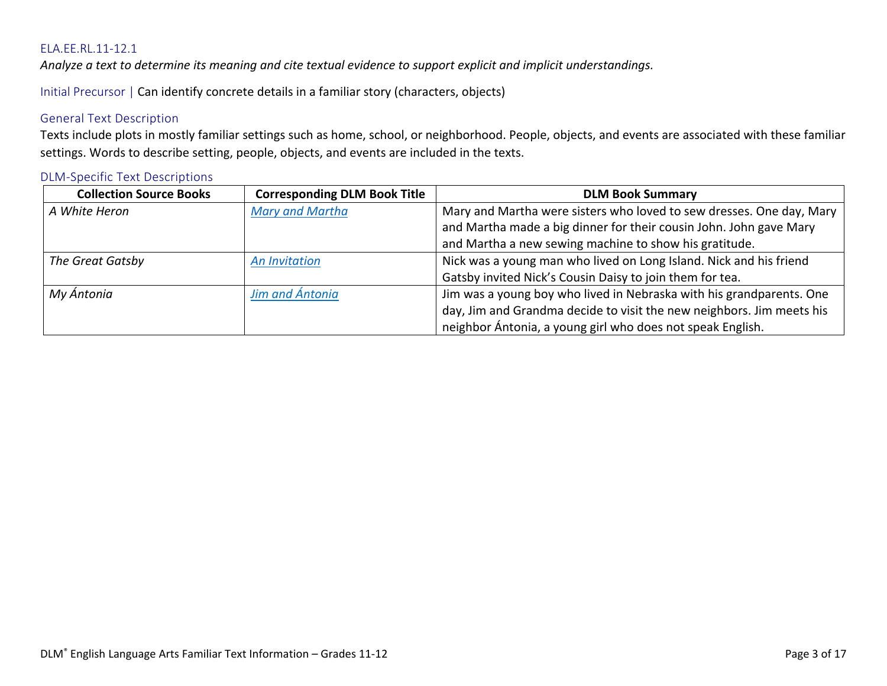<span id="page-2-0"></span>*Analyze a text to determine its meaning and cite textual evidence to support explicit and implicit understandings.*

Initial Precursor | Can identify concrete details in a familiar story (characters, objects)

# General Text Description

Texts include plots in mostly familiar settings such as home, school, or neighborhood. People, objects, and events are associated with these familiar settings. Words to describe setting, people, objects, and events are included in the texts.

| <b>Collection Source Books</b> | <b>Corresponding DLM Book Title</b> | <b>DLM Book Summary</b>                                               |
|--------------------------------|-------------------------------------|-----------------------------------------------------------------------|
| A White Heron                  | <b>Mary and Martha</b>              | Mary and Martha were sisters who loved to sew dresses. One day, Mary  |
|                                |                                     | and Martha made a big dinner for their cousin John. John gave Mary    |
|                                |                                     | and Martha a new sewing machine to show his gratitude.                |
| The Great Gatsby               | <b>An Invitation</b>                | Nick was a young man who lived on Long Island. Nick and his friend    |
|                                |                                     | Gatsby invited Nick's Cousin Daisy to join them for tea.              |
| My Ántonia                     | Jim and Ántonia                     | Jim was a young boy who lived in Nebraska with his grandparents. One  |
|                                |                                     | day, Jim and Grandma decide to visit the new neighbors. Jim meets his |
|                                |                                     | neighbor Ántonia, a young girl who does not speak English.            |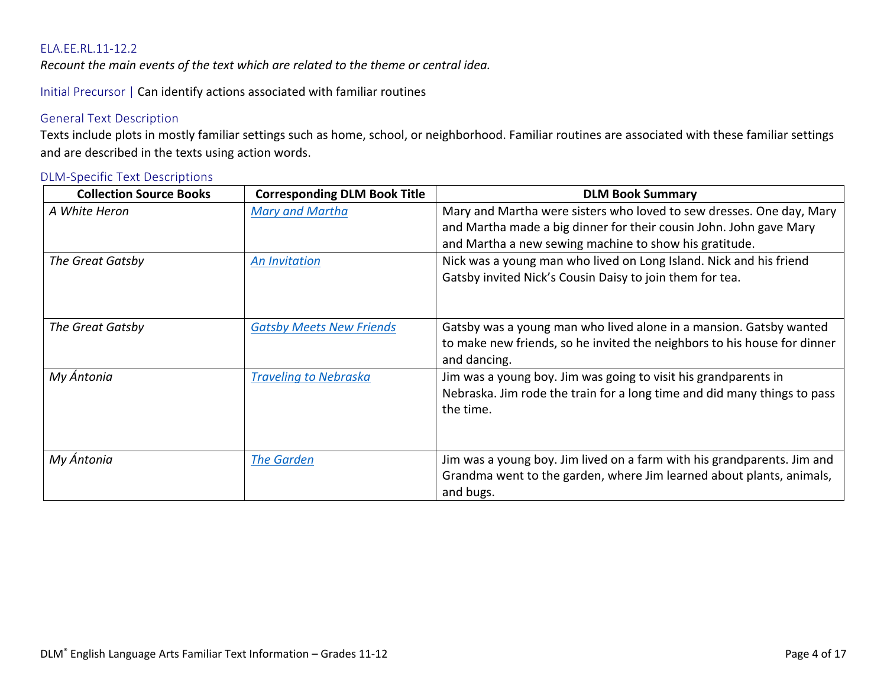<span id="page-3-0"></span>*Recount the main events of the text which are related to the theme or central idea.*

Initial Precursor | Can identify actions associated with familiar routines

# General Text Description

Texts include plots in mostly familiar settings such as home, school, or neighborhood. Familiar routines are associated with these familiar settings and are described in the texts using action words.

| <b>Collection Source Books</b> | <b>Corresponding DLM Book Title</b> | <b>DLM Book Summary</b>                                                                                                                                                                              |
|--------------------------------|-------------------------------------|------------------------------------------------------------------------------------------------------------------------------------------------------------------------------------------------------|
| A White Heron                  | <b>Mary and Martha</b>              | Mary and Martha were sisters who loved to sew dresses. One day, Mary<br>and Martha made a big dinner for their cousin John. John gave Mary<br>and Martha a new sewing machine to show his gratitude. |
| The Great Gatsby               | <b>An Invitation</b>                | Nick was a young man who lived on Long Island. Nick and his friend<br>Gatsby invited Nick's Cousin Daisy to join them for tea.                                                                       |
| The Great Gatsby               | <b>Gatsby Meets New Friends</b>     | Gatsby was a young man who lived alone in a mansion. Gatsby wanted<br>to make new friends, so he invited the neighbors to his house for dinner<br>and dancing.                                       |
| My Ántonia                     | <b>Traveling to Nebraska</b>        | Jim was a young boy. Jim was going to visit his grandparents in<br>Nebraska. Jim rode the train for a long time and did many things to pass<br>the time.                                             |
| My Ántonia                     | <b>The Garden</b>                   | Jim was a young boy. Jim lived on a farm with his grandparents. Jim and<br>Grandma went to the garden, where Jim learned about plants, animals,<br>and bugs.                                         |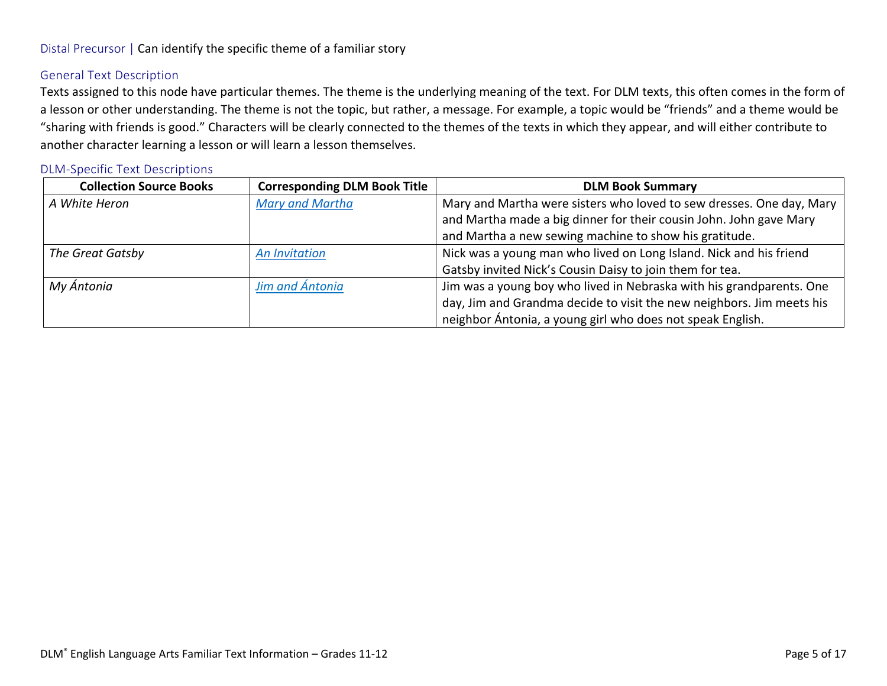# Distal Precursor | Can identify the specific theme of a familiar story

#### General Text Description

Texts assigned to this node have particular themes. The theme is the underlying meaning of the text. For DLM texts, this often comes in the form of a lesson or other understanding. The theme is not the topic, but rather, a message. For example, a topic would be "friends" and a theme would be "sharing with friends is good." Characters will be clearly connected to the themes of the texts in which they appear, and will either contribute to another character learning a lesson or will learn a lesson themselves.

| <b>Collection Source Books</b> | <b>Corresponding DLM Book Title</b> | <b>DLM Book Summary</b>                                               |
|--------------------------------|-------------------------------------|-----------------------------------------------------------------------|
| A White Heron                  | Mary and Martha                     | Mary and Martha were sisters who loved to sew dresses. One day, Mary  |
|                                |                                     | and Martha made a big dinner for their cousin John. John gave Mary    |
|                                |                                     | and Martha a new sewing machine to show his gratitude.                |
| The Great Gatsby               | <b>An Invitation</b>                | Nick was a young man who lived on Long Island. Nick and his friend    |
|                                |                                     | Gatsby invited Nick's Cousin Daisy to join them for tea.              |
| My Ántonia                     | Jim and Ántonia                     | Jim was a young boy who lived in Nebraska with his grandparents. One  |
|                                |                                     | day, Jim and Grandma decide to visit the new neighbors. Jim meets his |
|                                |                                     | neighbor Ántonia, a young girl who does not speak English.            |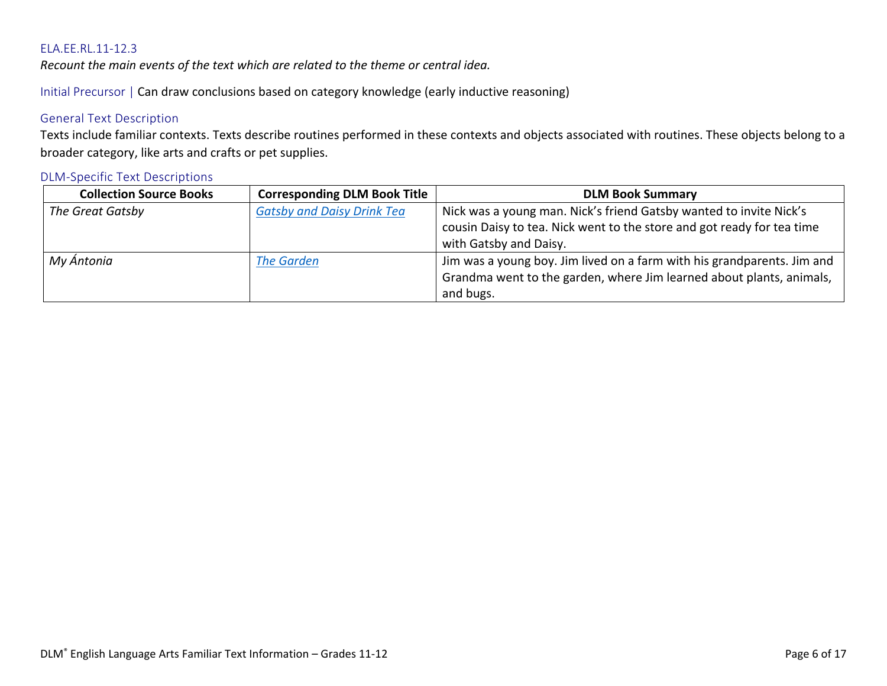<span id="page-5-0"></span>*Recount the main events of the text which are related to the theme or central idea.*

Initial Precursor | Can draw conclusions based on category knowledge (early inductive reasoning)

# General Text Description

Texts include familiar contexts. Texts describe routines performed in these contexts and objects associated with routines. These objects belong to a broader category, like arts and crafts or pet supplies.

| <b>Collection Source Books</b> | <b>Corresponding DLM Book Title</b> | <b>DLM Book Summary</b>                                                 |
|--------------------------------|-------------------------------------|-------------------------------------------------------------------------|
| The Great Gatsby               | <b>Gatsby and Daisy Drink Tea</b>   | Nick was a young man. Nick's friend Gatsby wanted to invite Nick's      |
|                                |                                     | cousin Daisy to tea. Nick went to the store and got ready for tea time  |
|                                |                                     | with Gatsby and Daisy.                                                  |
| My Ántonia                     | <b>The Garden</b>                   | Jim was a young boy. Jim lived on a farm with his grandparents. Jim and |
|                                |                                     | Grandma went to the garden, where Jim learned about plants, animals,    |
|                                |                                     | and bugs.                                                               |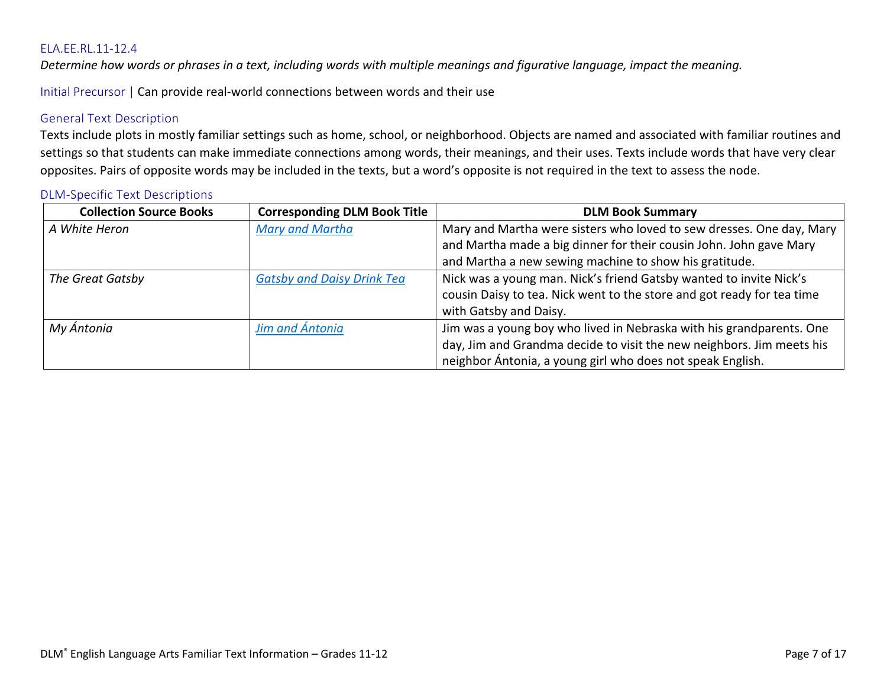<span id="page-6-0"></span>*Determine how words or phrases in a text, including words with multiple meanings and figurative language, impact the meaning.*

Initial Precursor | Can provide real-world connections between words and their use

# General Text Description

Texts include plots in mostly familiar settings such as home, school, or neighborhood. Objects are named and associated with familiar routines and settings so that students can make immediate connections among words, their meanings, and their uses. Texts include words that have very clear opposites. Pairs of opposite words may be included in the texts, but a word's opposite is not required in the text to assess the node.

| <b>Collection Source Books</b> | <b>Corresponding DLM Book Title</b> | <b>DLM Book Summary</b>                                                |
|--------------------------------|-------------------------------------|------------------------------------------------------------------------|
| A White Heron                  | Mary and Martha                     | Mary and Martha were sisters who loved to sew dresses. One day, Mary   |
|                                |                                     | and Martha made a big dinner for their cousin John. John gave Mary     |
|                                |                                     | and Martha a new sewing machine to show his gratitude.                 |
| The Great Gatsby               | <b>Gatsby and Daisy Drink Tea</b>   | Nick was a young man. Nick's friend Gatsby wanted to invite Nick's     |
|                                |                                     | cousin Daisy to tea. Nick went to the store and got ready for tea time |
|                                |                                     | with Gatsby and Daisy.                                                 |
| My Ántonia                     | Jim and Ántonia                     | Jim was a young boy who lived in Nebraska with his grandparents. One   |
|                                |                                     | day, Jim and Grandma decide to visit the new neighbors. Jim meets his  |
|                                |                                     | neighbor Ántonia, a young girl who does not speak English.             |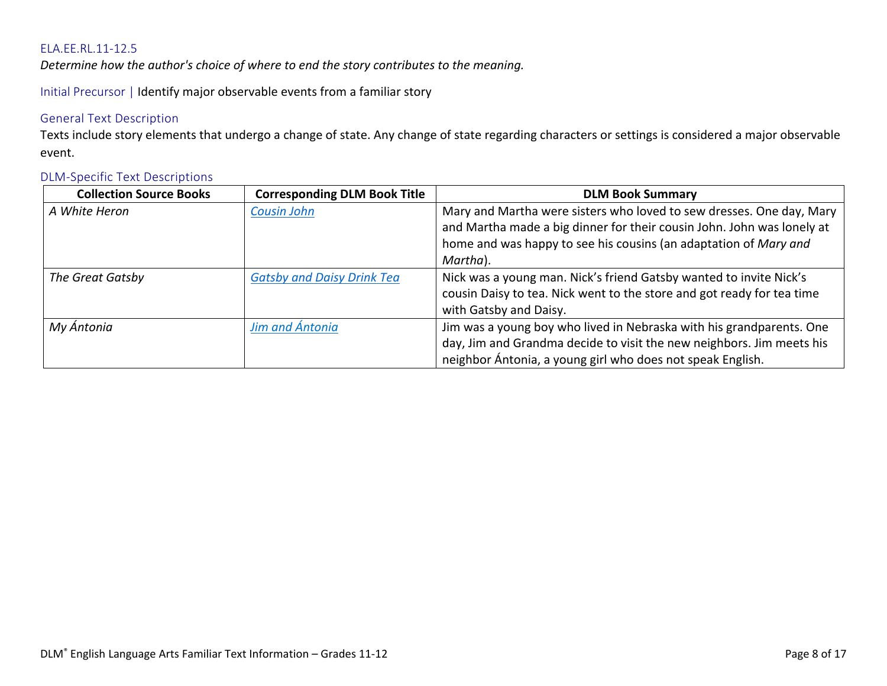<span id="page-7-0"></span>*Determine how the author's choice of where to end the story contributes to the meaning.*

Initial Precursor | Identify major observable events from a familiar story

# General Text Description

Texts include story elements that undergo a change of state. Any change of state regarding characters or settings is considered a major observable event.

| <b>Collection Source Books</b> | <b>Corresponding DLM Book Title</b> | <b>DLM Book Summary</b>                                                                                                                                                                                                        |
|--------------------------------|-------------------------------------|--------------------------------------------------------------------------------------------------------------------------------------------------------------------------------------------------------------------------------|
| A White Heron                  | <b>Cousin John</b>                  | Mary and Martha were sisters who loved to sew dresses. One day, Mary<br>and Martha made a big dinner for their cousin John. John was lonely at<br>home and was happy to see his cousins (an adaptation of Mary and<br>Martha). |
| The Great Gatsby               | <b>Gatsby and Daisy Drink Tea</b>   | Nick was a young man. Nick's friend Gatsby wanted to invite Nick's<br>cousin Daisy to tea. Nick went to the store and got ready for tea time<br>with Gatsby and Daisy.                                                         |
| My Ántonia                     | Jim and Ántonia                     | Jim was a young boy who lived in Nebraska with his grandparents. One<br>day, Jim and Grandma decide to visit the new neighbors. Jim meets his<br>neighbor Ántonia, a young girl who does not speak English.                    |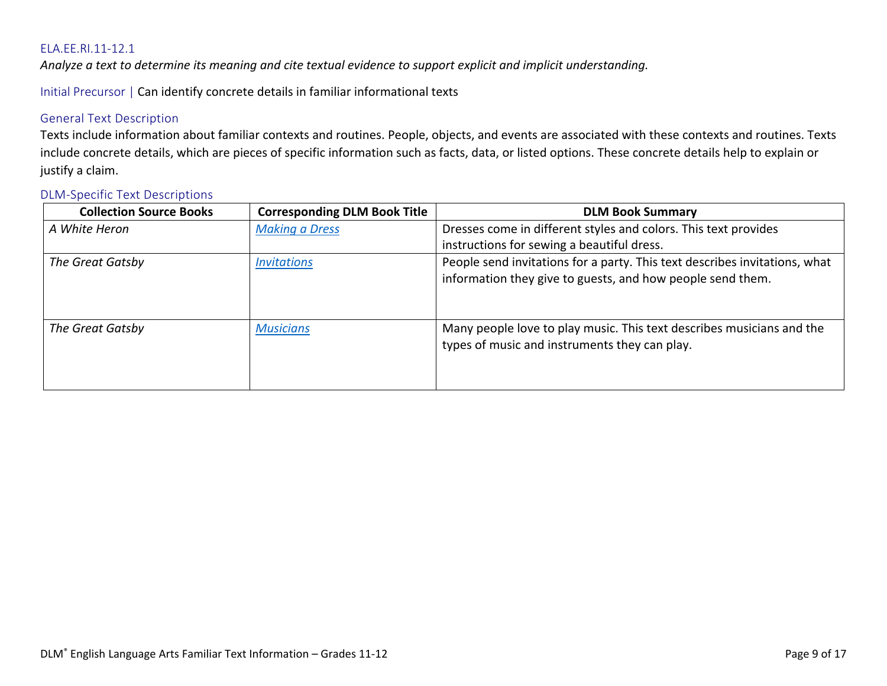<span id="page-8-0"></span>*Analyze a text to determine its meaning and cite textual evidence to support explicit and implicit understanding.*

Initial Precursor | Can identify concrete details in familiar informational texts

# General Text Description

Texts include information about familiar contexts and routines. People, objects, and events are associated with these contexts and routines. Texts include concrete details, which are pieces of specific information such as facts, data, or listed options. These concrete details help to explain or justify a claim.

| <b>Collection Source Books</b> | <b>Corresponding DLM Book Title</b> | <b>DLM Book Summary</b>                                                                                                                  |
|--------------------------------|-------------------------------------|------------------------------------------------------------------------------------------------------------------------------------------|
| A White Heron                  | <b>Making a Dress</b>               | Dresses come in different styles and colors. This text provides                                                                          |
|                                |                                     | instructions for sewing a beautiful dress.                                                                                               |
| The Great Gatsby               | <b>Invitations</b>                  | People send invitations for a party. This text describes invitations, what<br>information they give to guests, and how people send them. |
| The Great Gatsby               | <b>Musicians</b>                    | Many people love to play music. This text describes musicians and the<br>types of music and instruments they can play.                   |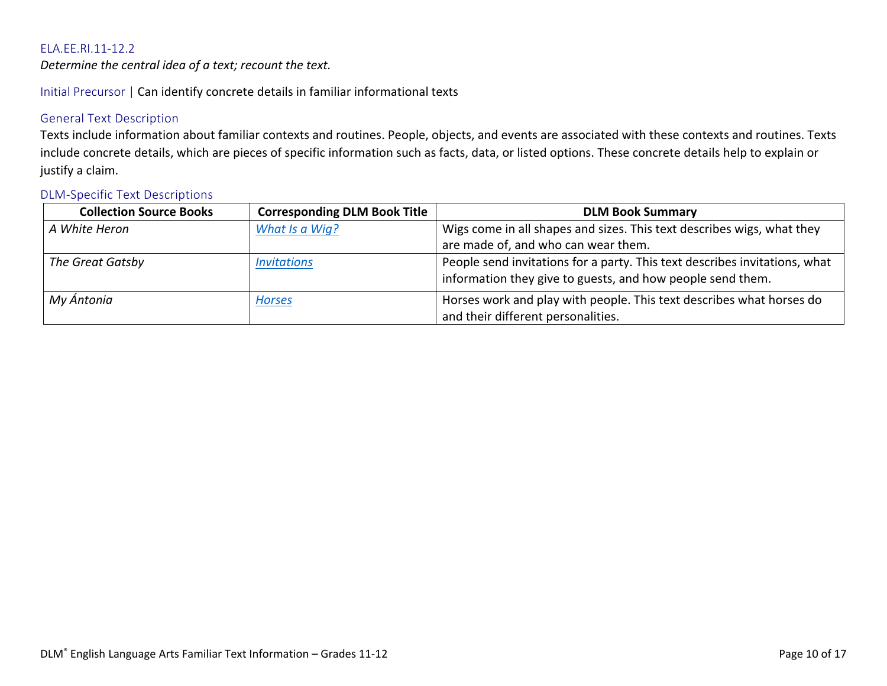<span id="page-9-0"></span>*Determine the central idea of a text; recount the text.*

Initial Precursor | Can identify concrete details in familiar informational texts

# General Text Description

Texts include information about familiar contexts and routines. People, objects, and events are associated with these contexts and routines. Texts include concrete details, which are pieces of specific information such as facts, data, or listed options. These concrete details help to explain or justify a claim.

| <b>Collection Source Books</b> | <b>Corresponding DLM Book Title</b> | <b>DLM Book Summary</b>                                                                                                                  |
|--------------------------------|-------------------------------------|------------------------------------------------------------------------------------------------------------------------------------------|
| A White Heron                  | What Is a Wig?                      | Wigs come in all shapes and sizes. This text describes wigs, what they                                                                   |
|                                |                                     | are made of, and who can wear them.                                                                                                      |
| The Great Gatsby               | <i><b>Invitations</b></i>           | People send invitations for a party. This text describes invitations, what<br>information they give to guests, and how people send them. |
| My Ántonia                     | <b>Horses</b>                       | Horses work and play with people. This text describes what horses do<br>and their different personalities.                               |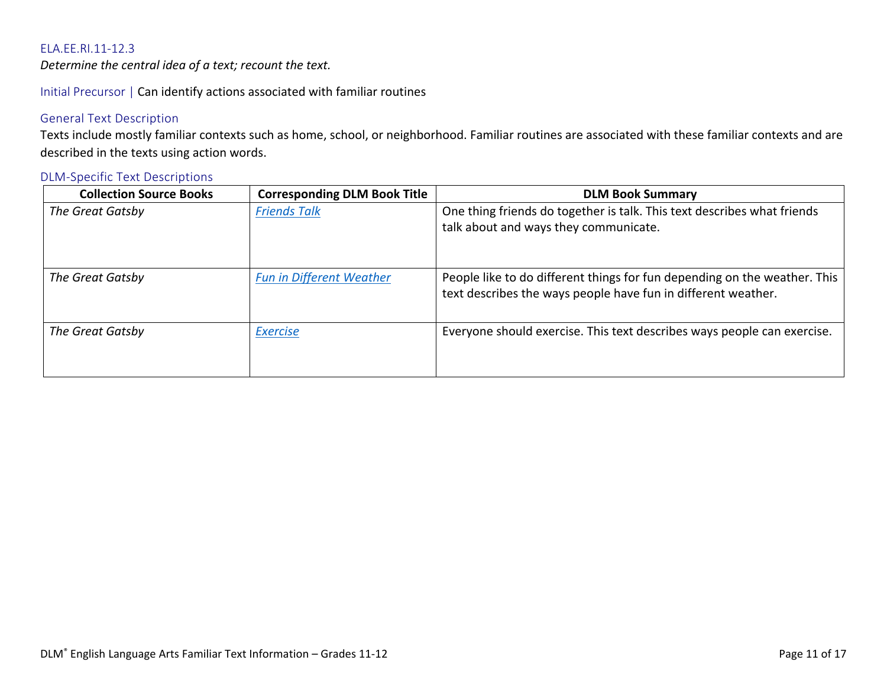<span id="page-10-0"></span>*Determine the central idea of a text; recount the text.*

Initial Precursor | Can identify actions associated with familiar routines

# General Text Description

Texts include mostly familiar contexts such as home, school, or neighborhood. Familiar routines are associated with these familiar contexts and are described in the texts using action words.

| <b>Collection Source Books</b> | <b>Corresponding DLM Book Title</b> | <b>DLM Book Summary</b>                                                                                                                    |
|--------------------------------|-------------------------------------|--------------------------------------------------------------------------------------------------------------------------------------------|
| The Great Gatsby               | <b>Friends Talk</b>                 | One thing friends do together is talk. This text describes what friends<br>talk about and ways they communicate.                           |
| The Great Gatsby               | <b>Fun in Different Weather</b>     | People like to do different things for fun depending on the weather. This<br>text describes the ways people have fun in different weather. |
| The Great Gatsby               | <b>Exercise</b>                     | Everyone should exercise. This text describes ways people can exercise.                                                                    |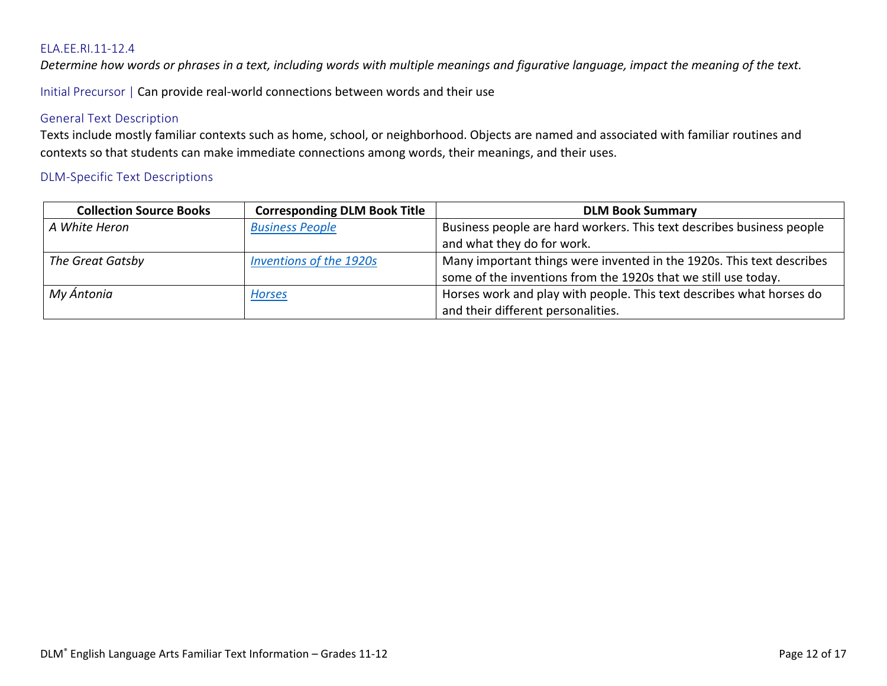<span id="page-11-0"></span>*Determine how words or phrases in a text, including words with multiple meanings and figurative language, impact the meaning of the text.*

Initial Precursor | Can provide real-world connections between words and their use

# General Text Description

Texts include mostly familiar contexts such as home, school, or neighborhood. Objects are named and associated with familiar routines and contexts so that students can make immediate connections among words, their meanings, and their uses.

| <b>Collection Source Books</b> | <b>Corresponding DLM Book Title</b> | <b>DLM Book Summary</b>                                                                                                                 |
|--------------------------------|-------------------------------------|-----------------------------------------------------------------------------------------------------------------------------------------|
| A White Heron                  | <b>Business People</b>              | Business people are hard workers. This text describes business people<br>and what they do for work.                                     |
| The Great Gatsby               | <b>Inventions of the 1920s</b>      | Many important things were invented in the 1920s. This text describes<br>some of the inventions from the 1920s that we still use today. |
| My Ántonia                     | <b>Horses</b>                       | Horses work and play with people. This text describes what horses do<br>and their different personalities.                              |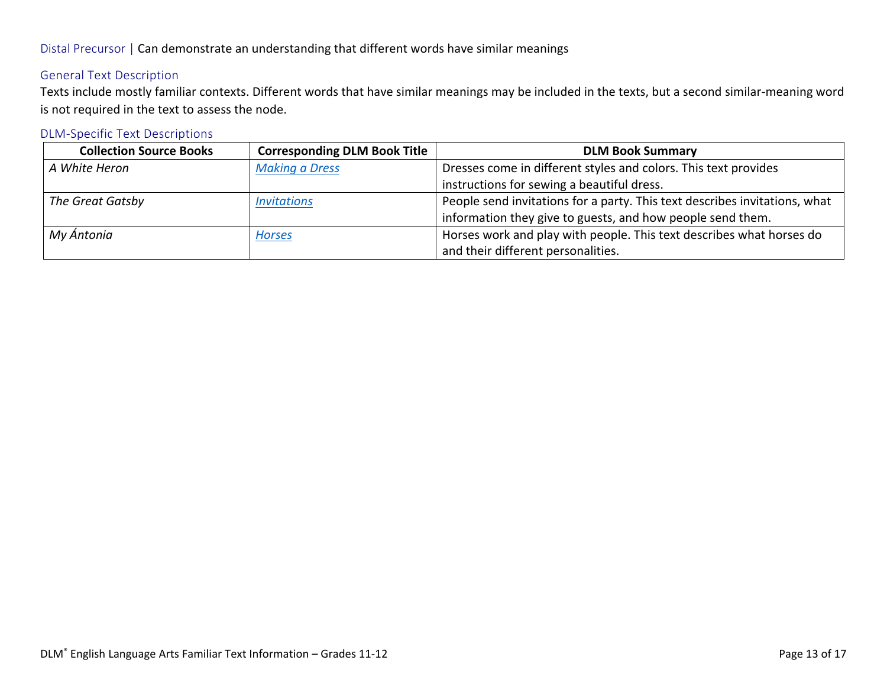# Distal Precursor | Can demonstrate an understanding that different words have similar meanings

# General Text Description

Texts include mostly familiar contexts. Different words that have similar meanings may be included in the texts, but a second similar-meaning word is not required in the text to assess the node.

| <b>Collection Source Books</b> | <b>Corresponding DLM Book Title</b> | <b>DLM Book Summary</b>                                                    |
|--------------------------------|-------------------------------------|----------------------------------------------------------------------------|
| A White Heron                  | <b>Making a Dress</b>               | Dresses come in different styles and colors. This text provides            |
|                                |                                     | instructions for sewing a beautiful dress.                                 |
| The Great Gatsby               | <b>Invitations</b>                  | People send invitations for a party. This text describes invitations, what |
|                                |                                     | information they give to guests, and how people send them.                 |
| My Ántonia                     | <b>Horses</b>                       | Horses work and play with people. This text describes what horses do       |
|                                |                                     | and their different personalities.                                         |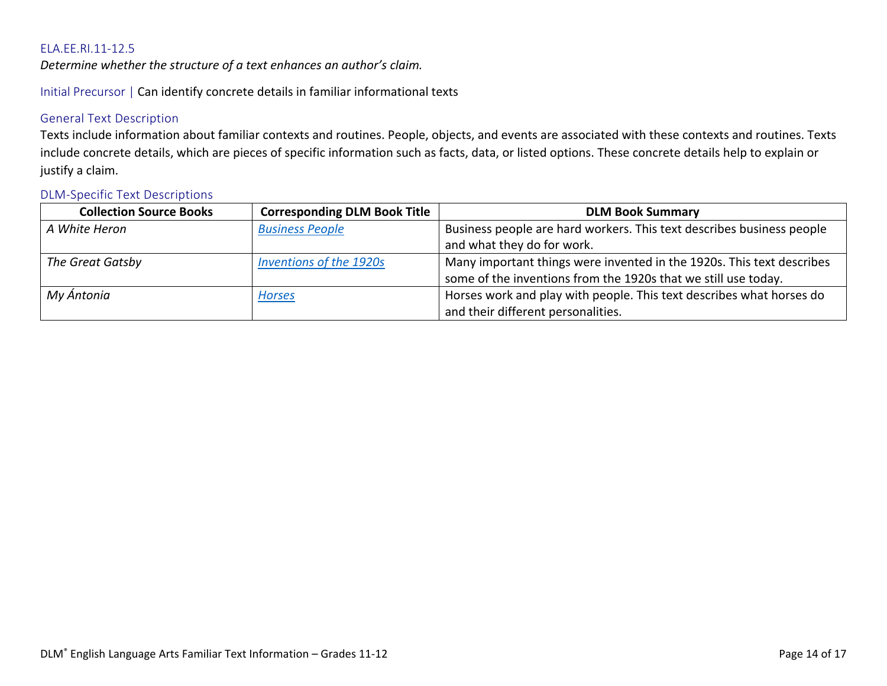<span id="page-13-0"></span>*Determine whether the structure of a text enhances an author's claim.*

Initial Precursor | Can identify concrete details in familiar informational texts

# General Text Description

Texts include information about familiar contexts and routines. People, objects, and events are associated with these contexts and routines. Texts include concrete details, which are pieces of specific information such as facts, data, or listed options. These concrete details help to explain or justify a claim.

| <b>Collection Source Books</b> | <b>Corresponding DLM Book Title</b> | <b>DLM Book Summary</b>                                               |
|--------------------------------|-------------------------------------|-----------------------------------------------------------------------|
| A White Heron                  | <b>Business People</b>              | Business people are hard workers. This text describes business people |
|                                |                                     | and what they do for work.                                            |
| The Great Gatsby               | <b>Inventions of the 1920s</b>      | Many important things were invented in the 1920s. This text describes |
|                                |                                     | some of the inventions from the 1920s that we still use today.        |
| My Ántonia                     | <b>Horses</b>                       | Horses work and play with people. This text describes what horses do  |
|                                |                                     | and their different personalities.                                    |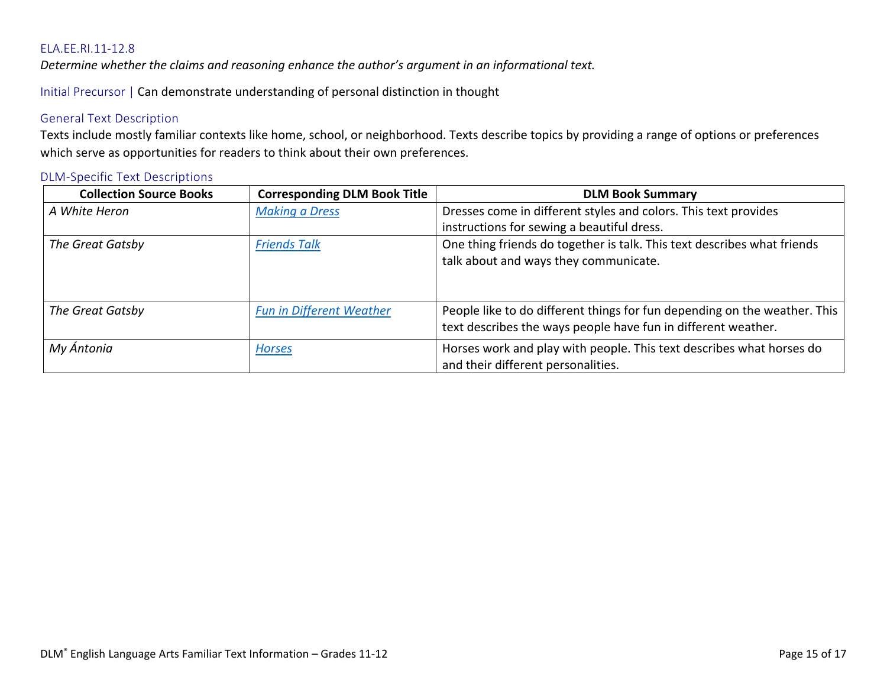<span id="page-14-0"></span>*Determine whether the claims and reasoning enhance the author's argument in an informational text.*

Initial Precursor | Can demonstrate understanding of personal distinction in thought

### General Text Description

Texts include mostly familiar contexts like home, school, or neighborhood. Texts describe topics by providing a range of options or preferences which serve as opportunities for readers to think about their own preferences.

| <b>Collection Source Books</b> | <b>Corresponding DLM Book Title</b> | <b>DLM Book Summary</b>                                                                                                                    |
|--------------------------------|-------------------------------------|--------------------------------------------------------------------------------------------------------------------------------------------|
| A White Heron                  | <b>Making a Dress</b>               | Dresses come in different styles and colors. This text provides                                                                            |
|                                |                                     | instructions for sewing a beautiful dress.                                                                                                 |
| The Great Gatsby               | <b>Friends Talk</b>                 | One thing friends do together is talk. This text describes what friends<br>talk about and ways they communicate.                           |
| The Great Gatsby               | <b>Fun in Different Weather</b>     | People like to do different things for fun depending on the weather. This<br>text describes the ways people have fun in different weather. |
| My Ántonia                     | <b>Horses</b>                       | Horses work and play with people. This text describes what horses do<br>and their different personalities.                                 |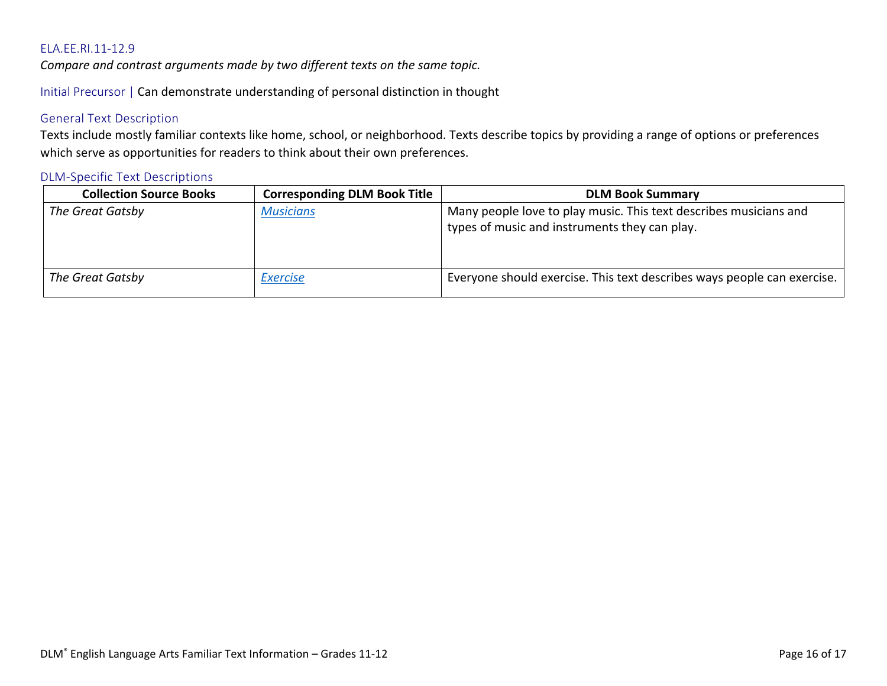<span id="page-15-0"></span>*Compare and contrast arguments made by two different texts on the same topic.*

Initial Precursor | Can demonstrate understanding of personal distinction in thought

#### General Text Description

Texts include mostly familiar contexts like home, school, or neighborhood. Texts describe topics by providing a range of options or preferences which serve as opportunities for readers to think about their own preferences.

| <b>Collection Source Books</b> | <b>Corresponding DLM Book Title</b> | <b>DLM Book Summary</b>                                                                                            |
|--------------------------------|-------------------------------------|--------------------------------------------------------------------------------------------------------------------|
| The Great Gatsby               | <b>Musicians</b>                    | Many people love to play music. This text describes musicians and<br>types of music and instruments they can play. |
| The Great Gatsby               | <b>Exercise</b>                     | Everyone should exercise. This text describes ways people can exercise.                                            |